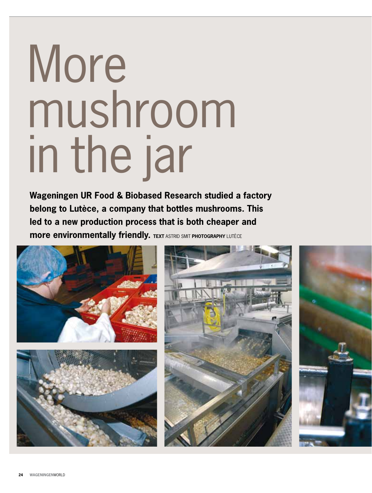## More mushroom in the jar

**Wageningen UR Food & Biobased Research studied a factory belong to Lutèce, a company that bottles mushrooms. This led to a new production process that is both cheaper and more environmentally friendly. TEXT ASTRID SMIT PHOTOGRAPHY LUTÈCE**